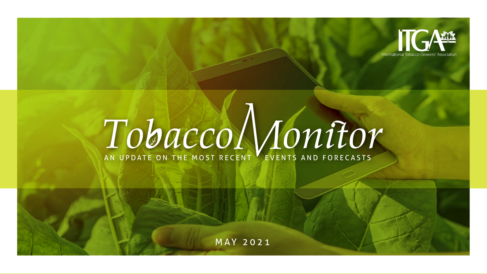

# **TOBACCO MONITOR**

MAY 2021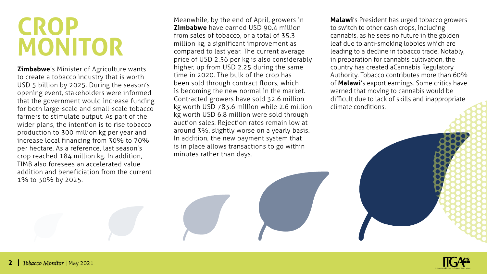### **CROP MONITOR**

**Zimbabwe**'s Minister of Agriculture wants to create a tobacco industry that is worth USD 5 billion by 2025. During the season's opening event, stakeholders were informed that the government would increase funding for both large-scale and small-scale tobacco farmers to stimulate output. As part of the wider plans, the intention is to rise tobacco production to 300 million kg per year and increase local financing from 30% to 70% per hectare. As a reference, last season's crop reached 184 million kg. In addition, TIMB also foresees an accelerated value addition and beneficiation from the current 1% to 30% by 2025.

Meanwhile, by the end of April, growers in **Zimbabwe** have earned USD 90.4 million from sales of tobacco, or a total of 35.3 million kg, a significant improvement as compared to last year. The current average price of USD 2.56 per kg is also considerably higher, up from USD 2.25 during the same time in 2020. The bulk of the crop has been sold through contract floors, which is becoming the new normal in the market. Contracted growers have sold 32.6 million kg worth USD 783.6 million while 2.6 million kg worth USD 6.8 million were sold through auction sales. Rejection rates remain low at around 3%, slightly worse on a yearly basis. In addition, the new payment system that is in place allows transactions to go within minutes rather than days.

**Malawi**'s President has urged tobacco growers to switch to other cash crops, including cannabis, as he sees no future in the golden leaf due to anti-smoking lobbies which are leading to a decline in tobacco trade. Notably, in preparation for cannabis cultivation, the country has created a Cannabis Regulatory Authority. Tobacco contributes more than 60% of **Malawi**'s export earnings. Some critics have warned that moving to cannabis would be difficult due to lack of skills and inappropriate climate conditions.

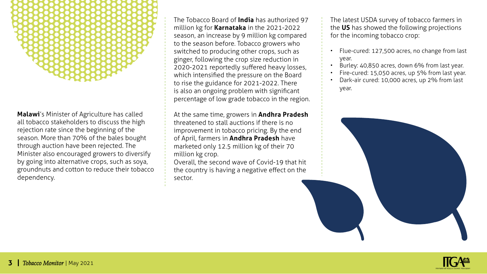

**Malawi**'s Minister of Agriculture has called all tobacco stakeholders to discuss the high rejection rate since the beginning of the season. More than 70% of the bales bought through auction have been rejected. The Minister also encouraged growers to diversify by going into alternative crops, such as soya, groundnuts and cotton to reduce their tobacco dependency.

The Tobacco Board of **India** has authorized 97 million kg for **Karnataka** in the 2021-2022 season, an increase by 9 million kg compared to the season before. Tobacco growers who switched to producing other crops, such as ginger, following the crop size reduction in 2020-2021 reportedly suffered heavy losses, which intensified the pressure on the Board to rise the guidance for 2021-2022. There is also an ongoing problem with significant percentage of low grade tobacco in the region.

At the same time, growers in **Andhra Pradesh** threatened to stall auctions if there is no improvement in tobacco pricing. By the end of April, farmers in **Andhra Pradesh** have marketed only 12.5 million kg of their 70 million kg crop.

Overall, the second wave of Covid-19 that hit the country is having a negative effect on the sector.

The latest USDA survey of tobacco farmers in the **US** has showed the following projections for the incoming tobacco crop:

- Flue-cured: 127,500 acres, no change from last year.
- Burley: 40,850 acres, down 6% from last year.
- Fire-cured: 15,050 acres, up 5% from last year.
- Dark-air cured: 10,000 acres, up 2% from last year.



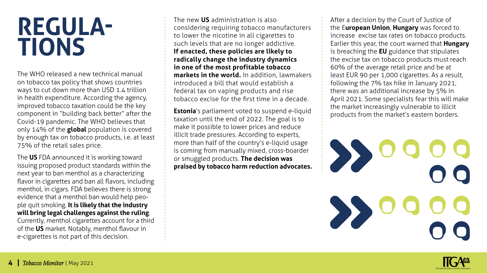### **REGULA-TIONS**

The WHO released a new technical manual on tobacco tax policy that shows countries ways to cut down more than USD 1.4 trillion in health expenditure. According the agency, improved tobacco taxation could be the key component in "building back better" after the Covid-19 pandemic. The WHO believes that only 14% of the **global** population is covered by enough tax on tobacco products, i.e. at least 75% of the retail sales price.

The **US** FDA announced it is working toward issuing proposed product standards within the next year to ban menthol as a characterizing flavor in cigarettes and ban all flavors, including menthol, in cigars. FDA believes there is strong evidence that a menthol ban would help people quit smoking. **It is likely that the industry will bring legal challenges against the ruling**. Currently, menthol cigarettes account for a third of the **US** market. Notably, menthol flavour in e-cigarettes is not part of this decision.

The new **US** administration is also considering requiring tobacco manufacturers to lower the nicotine in all cigarettes to such levels that are no longer addictive. **If enacted, these policies are likely to radically change the industry dynamics in one of the most profitable tobacco markets in the world.** In addition, lawmakers introduced a bill that would establish a federal tax on vaping products and rise tobacco excise for the first time in a decade.

**Estonia**'s parliament voted to suspend e-liquid taxation until the end of 2022. The goal is to make it possible to lower prices and reduce illicit trade pressures. According to experts, more than half of the country's e-liquid usage is coming from manually mixed, cross-boarder or smuggled products. **The decision was praised by tobacco harm reduction advocates.**

After a decision by the Court of Justice of the E**uropean Union**, **Hungary** was forced to increase excise tax rates on tobacco products. Earlier this year, the court warned that **Hungary** is breaching the **EU** guidance that stipulates the excise tax on tobacco products must reach 60% of the average retail price and be at least EUR 90 per 1,000 cigarettes. As a result, following the 7% tax hike in January 2021, there was an additional increase by 5% in April 2021. Some specialists fear this will make the market increasingly vulnerable to illicit products from the market's eastern borders.

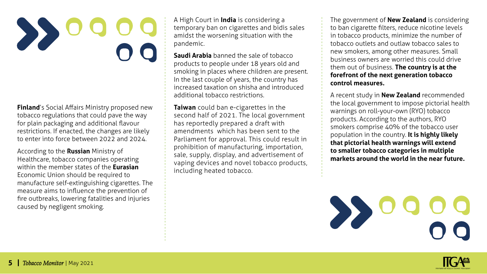**Finland**'s Social Affairs Ministry proposed new tobacco regulations that could pave the way for plain packaging and additional flavour restrictions. If enacted, the changes are likely to enter into force between 2022 and 2024.

According to the **Russian** Ministry of Healthcare, tobacco companies operating within the member states of the **Eurasian** Economic Union should be required to manufacture self-extinguishing cigarettes. The measure aims to influence the prevention of fire outbreaks, lowering fatalities and injuries caused by negligent smoking.

A High Court in **India** is considering a temporary ban on cigarettes and bidis sales amidst the worsening situation with the pandemic.

**Saudi Arabia** banned the sale of tobacco products to people under 18 years old and smoking in places where children are present. In the last couple of years, the country has increased taxation on shisha and introduced additional tobacco restrictions.

**Taiwan** could ban e-cigarettes in the second half of 2021. The local government has reportedly prepared a draft with amendments which has been sent to the Parliament for approval. This could result in prohibition of manufacturing, importation, sale, supply, display, and advertisement of vaping devices and novel tobacco products, including heated tobacco.

The government of **New Zealand** is considering to ban cigarette filters, reduce nicotine levels in tobacco products, minimize the number of tobacco outlets and outlaw tobacco sales to new smokers, among other measures. Small business owners are worried this could drive them out of business. **The country is at the forefront of the next generation tobacco control measures.**

A recent study in **New Zealand** recommended the local government to impose pictorial health warnings on roll-your-own (RYO) tobacco products. According to the authors, RYO smokers comprise 40% of the tobacco user population in the country. **It is highly likely that pictorial health warnings will extend to smaller tobacco categories in multiple markets around the world in the near future.**



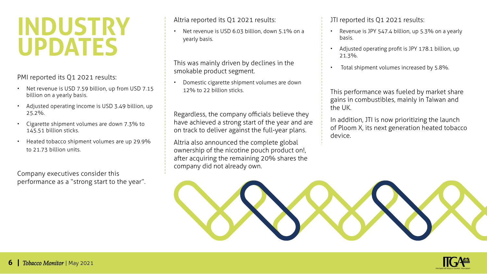### **INDUSTRY UPDATES**

PMI reported its Q1 2021 results:

- Net revenue is USD 7.59 billion, up from USD 7.15 billion on a yearly basis.
- Adjusted operating income is USD 3.49 billion, up 25.2%.
- Cigarette shipment volumes are down 7.3% to 145.51 billion sticks.
- Heated tobacco shipment volumes are up 29.9% to 21.73 billion units.

Company executives consider this performance as a "strong start to the year". Altria reported its Q1 2021 results:

• Net revenue is USD 6.03 billion, down 5.1% on a yearly basis.

This was mainly driven by declines in the smokable product segment.

• Domestic cigarette shipment volumes are down 12% to 22 billion sticks.

Regardless, the company officials believe they have achieved a strong start of the year and are on track to deliver against the full-year plans.

Altria also announced the complete global ownership of the nicotine pouch product on!, after acquiring the remaining 20% shares the company did not already own.

JTI reported its Q1 2021 results:

- Revenue is JPY 547.4 billion, up 5.3% on a yearly basis.
- Adjusted operating profit is JPY 178.1 billion, up 21.3%.
- Total shipment volumes increased by 5.8%.

This performance was fueled by market share gains in combustibles, mainly in Taiwan and the UK.

In addition, JTI is now prioritizing the launch of Ploom X, its next generation heated tobacco device.



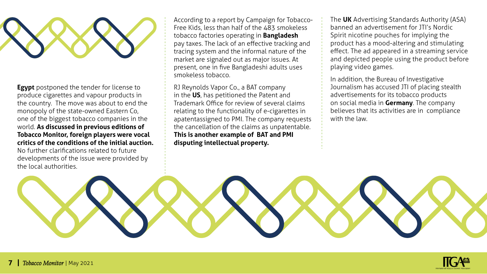

**Egypt** postponed the tender for license to produce cigarettes and vapour products in the country. The move was about to end the monopoly of the state-owned Eastern Co, one of the biggest tobacco companies in the world. **As discussed in previous editions of Tobacco Monitor, foreign players were vocal critics of the conditions of the initial auction.** 

No further clarifications related to future developments of the issue were provided by the local authorities.

According to a report by Campaign for Tobacco-Free Kids, less than half of the 483 smokeless tobacco factories operating in **Bangladesh** pay taxes. The lack of an effective tracking and tracing system and the informal nature of the market are signaled out as major issues. At present, one in five Bangladeshi adults uses smokeless tobacco.

RJ Reynolds Vapor Co., a BAT company in the **US**, has petitioned the Patent and Trademark Office for review of several claims relating to the functionality of e-cigarettes in apatent assigned to PMI. The company requests the cancellation of the claims as unpatentable. **This is another example of BAT and PMI disputing intellectual property.** 

The **UK** Advertising Standards Authority (ASA) banned an advertisement for JTI's Nordic Spirit nicotine pouches for implying the product has a mood-altering and stimulating effect. The ad appeared in a streaming service and depicted people using the product before playing video games.

In addition, the Bureau of Investigative Journalism has accused JTI of placing stealth advertisements for its tobacco products on social media in **Germany**. The company believes that its activities are in compliance with the law



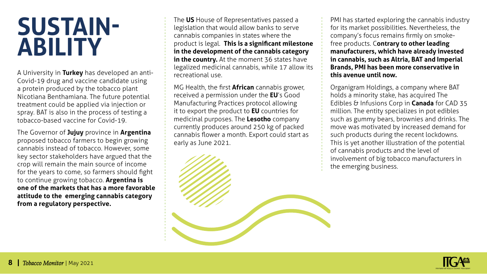### **SUSTAIN-ABILITY**

A University in **Turkey** has developed an anti-Covid-19 drug and vaccine candidate using a protein produced by the tobacco plant Nicotiana Benthamiana. The future potential treatment could be applied via injection or spray. BAT is also in the process of testing a tobacco-based vaccine for Covid-19.

The Governor of **Jujuy** province in **Argentina** proposed tobacco farmers to begin growing cannabis instead of tobacco. However, some key sector stakeholders have argued that the crop will remain the main source of income for the years to come, so farmers should fight to continue growing tobacco. **Argentina is one of the markets that has a more favorable attitude to the emerging cannabis category from a regulatory perspective.**

The **US** House of Representatives passed a legislation that would allow banks to serve cannabis companies in states where the product is legal. **This is a significant milestone in the development of the cannabis category in the country.** At the moment 36 states have legalized medicinal cannabis, while 17 allow its recreational use.

MG Health, the first **African** cannabis grower, received a permission under the **EU**'s Good Manufacturing Practices protocol allowing it to export the product to **EU** countries for medicinal purposes. The **Lesotho** company currently produces around 250 kg of packed cannabis flower a month. Export could start as early as June 2021.

PMI has started exploring the cannabis industry for its market possibilities. Nevertheless, the company's focus remains firmly on smokefree products. C**ontrary to other leading manufacturers, which have already invested in cannabis, such as Altria, BAT and Imperial Brands, PMI has been more conservative in this avenue until now.**

Organigram Holdings, a company where BAT holds a minority stake, has acquired The Edibles & Infusions Corp in **Canada** for CAD 35 million. The entity specializes in pot edibles such as gummy bears, brownies and drinks. The move was motivated by increased demand for such products during the recent lockdowns. This is yet another illustration of the potential of cannabis products and the level of involvement of big tobacco manufacturers in the emerging business.

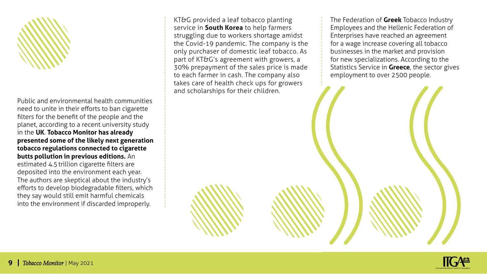

Public and environmental health communities need to unite in their efforts to ban cigarette filters for the benefit of the people and the planet, according to a recent university study in the **UK**. **Tobacco Monitor has already presented some of the likely next generation tobacco regulations connected to cigarette butts pollution in previous editions.** An estimated 4.5trillion cigarette filters are deposited into the environment each year. The authors are skeptical about the industry's efforts to develop biodegradable filters, which they say would still emit harmful chemicals into the environment if discarded improperly.

KT&G provided a leaf tobacco planting service in **South Korea** to help farmers struggling due to workers shortage amidst the Covid-19 pandemic. The company is the only purchaser of domestic leaf tobacco. As part of KT&G's agreement with growers, a 30% prepayment of the sales price is made to each farmer in cash. The company also takes care of health check ups for growers and scholarships for their children.

The Federation of **Greek** Tobacco Industry Employees and the Hellenic Federation of Enterprises have reached an agreement for a wage increase covering all tobacco businesses in the market and provision for new specializations. According to the Statistics Service in **Greece**, the sector gives employment to over 2500 people.



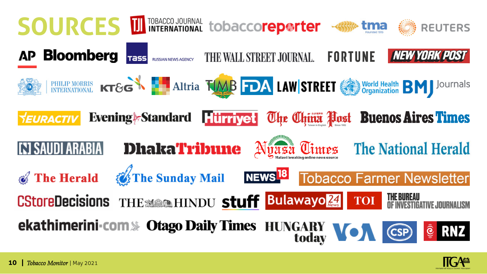